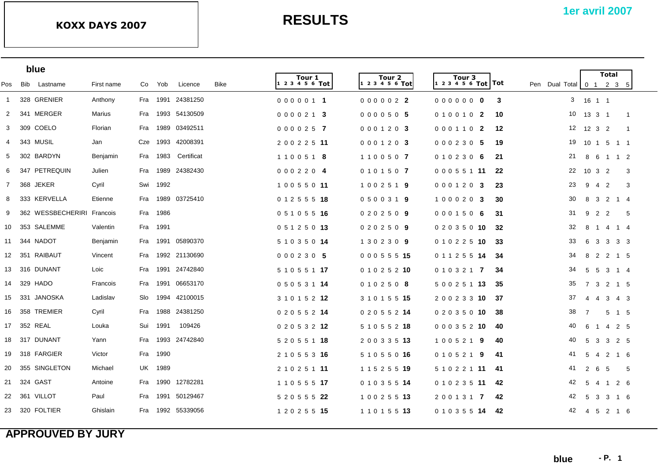|                | blue                       |            |      |          |                   |             |                       |                           |                                           |     |                                                                  |                      | <b>Total</b>   |              |  |
|----------------|----------------------------|------------|------|----------|-------------------|-------------|-----------------------|---------------------------|-------------------------------------------|-----|------------------------------------------------------------------|----------------------|----------------|--------------|--|
| Pos            | Bib Lastname               | First name | Co   | Yob      | Licence           | <b>Bike</b> | Tour 1<br>123456 Tot  | Tour 2<br>1 2 3 4 5 6 Tot | Tour <sub>3</sub><br> 1 2 3 4 5 6 Tot Tot |     | Pen Dual Total $\begin{bmatrix} 0 & 1 & 2 & 3 & 5 \end{bmatrix}$ |                      |                |              |  |
| $\mathbf{1}$   | 328 GRENIER                | Anthony    |      |          | Fra 1991 24381250 |             | 0000011               | 0000022                   | 00000000                                  | 3   | 3 <sup>7</sup>                                                   | 16 1 1               |                |              |  |
| 2              | 341 MERGER                 | Marius     | Fra  |          | 1993 54130509     |             | 0000213               | 0000505                   | 0100102                                   | 10  | 10                                                               | 13  3  1             |                | $\mathbf{1}$ |  |
| 3              | 309 COELO                  | Florian    | Fra  | 1989     | 03492511          |             | 0000257               | 0001203                   | 0001102                                   | 12  | 12                                                               | 1232                 |                | $\mathbf{1}$ |  |
| 4              | 343 MUSIL                  | Jan        | Cze  | 1993     | 42008391          |             | 2 0 0 2 2 5 11        | 0001203                   | 000230 5                                  | 19  | 19                                                               | 10 1 5 1 1           |                |              |  |
| 5              | 302 BARDYN                 | Benjamin   | Fra  | 1983     | Certificat        |             | 1100518               | 1100507                   | 0102306                                   | 21  | 21                                                               | 8 6                  | 1 1 2          |              |  |
| 6              | 347 PETREQUIN              | Julien     | Fra  | 1989     | 24382430          |             | 0002204               | 0101507                   | 0 0 0 5 5 1 11                            | 22  | 22                                                               | $10 \quad 3 \quad 2$ |                | 3            |  |
| $\overline{7}$ | 368 JEKER                  | Cyril      | Swi  | 1992     |                   |             | 10055011              | 1002519                   | 0001203                                   | -23 | 23                                                               | 9<br>4               | $\overline{2}$ | 3            |  |
| 8              | 333 KERVELLA               | Etienne    | Fra  | 1989     | 03725410          |             | 0 1 2 5 5 5 18        | 0500319                   | 1000203                                   | 30  | 30                                                               | $\mathbf{3}$<br>8    | 2 1 4          |              |  |
| 9              | 362 WESSBECHERIRI Francois |            |      | Fra 1986 |                   |             | 0 5 1 0 5 5 16        | 0202509                   | 0001506                                   | -31 | 31                                                               | 9 2 2                |                | 5            |  |
| 10             | 353 SALEMME                | Valentin   |      | Fra 1991 |                   |             | 0 5 1 2 5 0 13        | 0202509                   | 0 2 0 3 5 0 10                            | 32  | 32                                                               | 8 1                  | 4 1 4          |              |  |
|                | 11 344 NADOT               | Benjamin   |      |          | Fra 1991 05890370 |             | 5 1 0 3 5 0 14        | 1302309                   | 0 1 0 2 2 5 10                            | -33 | 33                                                               | 6 3 3 3 3            |                |              |  |
| 12             | 351 RAIBAUT                | Vincent    | Fra  |          | 1992 21130690     |             | 000230 5              | 0 0 0 5 5 5 15            | 0 1 1 2 5 5 14                            | -34 | 34                                                               | 8 2                  | 2 1 5          |              |  |
|                | 13 316 DUNANT              | Loic       | Fra  |          | 1991 24742840     |             | 5 1 0 5 5 1 <b>17</b> | 0 1 0 2 5 2 10            | 0 1 0 3 2 1 7                             | -34 | 34                                                               | 5 5 3 1 4            |                |              |  |
| 14             | 329 HADO                   | Francois   | Fra  | 1991     | 06653170          |             | 0 5 0 5 3 1 14        | 0102508                   | 5 0 0 2 5 1 13                            | -35 | 35                                                               | 7 3 2 1 5            |                |              |  |
| 15             | 331 JANOSKA                | Ladislav   | Slo. |          | 1994 42100015     |             | 3 1 0 1 5 2 12        | 3 1 0 1 5 5 <b>15</b>     | 2 0 0 2 3 3 10                            | -37 | 37                                                               | 4 4                  | 3 4 3          |              |  |
| 16             | 358 TREMIER                | Cyril      | Fra  | 1988     | 24381250          |             | 0 2 0 5 5 2 14        | 0 2 0 5 5 2 14            | 0 2 0 3 5 0 10                            | -38 | 38                                                               | 7                    | 5 1 5          |              |  |
|                | 17 352 REAL                | Louka      | Sui  | 1991     | 109426            |             | 0 2 0 5 3 2 12        | 5 1 0 5 5 2 <b>18</b>     | 0 0 0 3 5 2 10                            | -40 | 40                                                               | 6<br>$\overline{1}$  | 4 2 5          |              |  |
| 18             | 317 DUNANT                 | Yann       | Fra  |          | 1993 24742840     |             | 5 2 0 5 5 1 18        | 2 0 0 3 3 5 13            | 1005219                                   | -40 | 40                                                               | 5<br>$\mathbf{3}$    | 3 2 5          |              |  |
| 19             | 318 FARGIER                | Victor     | Fra  | 1990     |                   |             | 2 1 0 5 5 3 16        | 5 1 0 5 5 0 16            | 0 1 0 5 2 1<br>-9                         | -41 | 41                                                               | 5<br>-4              | 2 1 6          |              |  |
| -20            | 355 SINGLETON              | Michael    | UK   | 1989     |                   |             | 2 1 0 2 5 1 11        | 1 1 5 2 5 5 19            | 5 1 0 2 2 1 11 41                         |     | 41                                                               | $2\quad 6$           | - 5            | -5           |  |
|                | 21 324 GAST                | Antoine    | Fra  | 1990     | 12782281          |             | 1 1 0 5 5 5 <b>17</b> | 0 1 0 3 5 5 14            | 0 1 0 2 3 5 <b>11</b>                     | -42 | 42                                                               | 5 4 1 2 6            |                |              |  |
|                | 22 361 VILLOT              | Paul       | Fra  | 1991     | 50129467          |             | 5 2 0 5 5 5 22        | 1 0 0 2 5 5 13            | 2 0 0 1 3 1 7                             | 42  | 42                                                               | 5<br>$\mathbf{3}$    | 3              | 16           |  |
|                | 23 320 FOLTIER             | Ghislain   |      |          | Fra 1992 55339056 |             | 1 2 0 2 5 5 15        | 1 1 0 1 5 5 <b>13</b>     | 0 1 0 3 5 5 14                            | 42  | 42                                                               | 4 5 2 1 6            |                |              |  |
|                |                            |            |      |          |                   |             |                       |                           |                                           |     |                                                                  |                      |                |              |  |

## **APPROUVED BY JURY**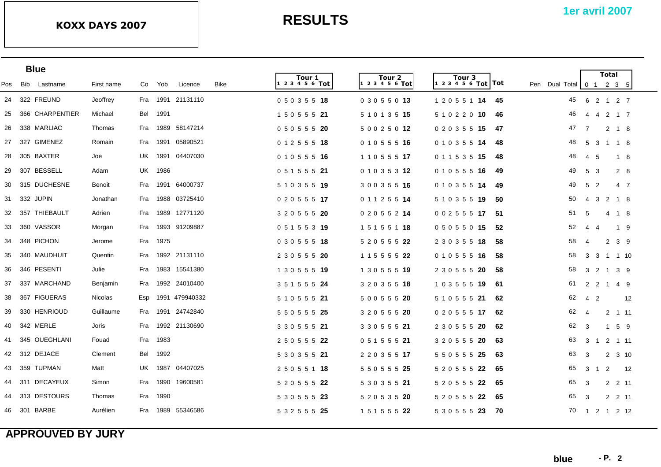| <b>Blue</b> |                  |  |                |     |          |                   |      |                        |                       |                                             |                                               | <b>Total</b>                     |                     |    |
|-------------|------------------|--|----------------|-----|----------|-------------------|------|------------------------|-----------------------|---------------------------------------------|-----------------------------------------------|----------------------------------|---------------------|----|
| Pos         | Bib<br>Lastname  |  | First name     | Co  | Yob      | Licence           | Bike | Tour 1<br>$123456$ Tot | Tour 2<br>123456Tot   | Tour <sub>3</sub><br> 1 2 3 4 5 6 Tot   Tot | Pen Dual Total 0 1 2 3 5                      |                                  |                     |    |
|             | 24 322 FREUND    |  | Jeoffrey       |     |          | Fra 1991 21131110 |      | 05035518               | 03055013              | 1 2 0 5 5 1 <b>14</b>                       | 45<br>-45                                     | 6 2 1 2 7                        |                     |    |
| 25          | 366 CHARPENTIER  |  | Michael        | Bel | 1991     |                   |      | 1 5 0 5 5 5 21         | 5 1 0 1 3 5 15        | 5 1 0 2 2 0 10                              | 46<br>46<br>$\overline{4}$                    | -4                               | 2 1 7               |    |
| 26          | 338 MARLIAC      |  | Thomas         | Fra |          | 1989 58147214     |      | 0 5 0 5 5 5 20         | 5 0 0 2 5 0 12        | 0 2 0 3 5 5 15                              | 47<br>-47<br>$\overline{7}$                   | $\overline{2}$                   | 1 8                 |    |
| 27          | 327 GIMENEZ      |  | Romain         | Fra |          | 1991 05890521     |      | 0 1 2 5 5 5 18         | 0 1 0 5 5 5 16        | 0 1 0 3 5 5 14                              | 48<br>5<br>48                                 | -3                               | 1 1 8               |    |
| 28          | 305 BAXTER       |  | Joe            | UK  |          | 1991 04407030     |      | 0 1 0 5 5 5 16         | 1 1 0 5 5 5 <b>17</b> | 0 1 1 5 3 5 15                              | 48<br>48<br>$\overline{4}$                    | -5                               | 1 8                 |    |
| 29          | 307 BESSELL      |  | Adam           | UK  | 1986     |                   |      | 0 5 1 5 5 5 21         | 0 1 0 3 5 3 12        | 0 1 0 5 5 5 16                              | 49<br>$5\overline{5}$<br>49                   | 3                                | 2 8                 |    |
|             | 30 315 DUCHESNE  |  | Benoit         | Fra |          | 1991 64000737     |      | 5 1 0 3 5 5 19         | 3 0 0 3 5 5 16        | 0 1 0 3 5 5 14                              | $5\overline{)}$<br>49<br>$\overline{2}$<br>49 |                                  | 4 7                 |    |
|             | 31 332 JUPIN     |  | Jonathan       | Fra |          | 1988 03725410     |      | 0 2 0 5 5 5 17         | 0 1 1 2 5 5 14        | 5 1 0 3 5 5 19                              | 50<br>$\overline{4}$<br>50                    | 3                                | 2 1 8               |    |
|             | 32 357 THIEBAULT |  | Adrien         | Fra |          | 1989 12771120     |      | 3 2 0 5 5 5 20         | 0 2 0 5 5 2 14        | 0 0 2 5 5 5 17                              | 51<br>5<br>-51                                |                                  | 4 1 8               |    |
| 33          | 360 VASSOR       |  | Morgan         | Fra |          | 1993 91209887     |      | 0 5 1 5 5 3 19         | 1 5 1 5 5 1 18        | 05055015                                    | 52<br>52<br>$\overline{4}$                    | $\overline{4}$                   | 1 9                 |    |
| 34          | 348 PICHON       |  | Jerome         |     | Fra 1975 |                   |      | 0 3 0 5 5 5 18         | 5 2 0 5 5 5 22        | 2 3 0 3 5 5 18                              | 58<br>58<br>$\overline{4}$                    |                                  | $2 \quad 3 \quad 9$ |    |
| 35          | 340 MAUDHUIT     |  | Quentin        | Fra |          | 1992 21131110     |      | 2 3 0 5 5 5 20         | 1 1 5 5 5 5 22        | 0 1 0 5 5 5 16                              | 58<br>58                                      | 3 3 1 1 10                       |                     |    |
| 36          | 346 PESENTI      |  | Julie          | Fra |          | 1983 15541380     |      | 1 3 0 5 5 5 19         | 1 3 0 5 5 5 19        | 2 3 0 5 5 5 20                              | 58<br>58                                      | 3 2 1 3 9                        |                     |    |
| 37          | 337 MARCHAND     |  | Benjamin       | Fra |          | 1992 24010400     |      | 3 5 1 5 5 5 24         | 3 2 0 3 5 5 18        | 1 0 3 5 5 5 19                              | 61<br>2<br>61                                 | 2                                | 1 4 9               |    |
| 38          | 367 FIGUERAS     |  | <b>Nicolas</b> | Esp |          | 1991 479940332    |      | 5 1 0 5 5 5 21         | 5 0 0 5 5 5 20        | 5 1 0 5 5 5 21                              | 62<br>4 <sub>2</sub><br>62                    |                                  |                     | 12 |
| 39          | 330 HENRIOUD     |  | Guillaume      | Fra | 1991     | 24742840          |      | 5 5 0 5 5 5 25         | 3 2 0 5 5 5 20        | 0 2 0 5 5 5 17                              | 62<br>62<br>$\overline{4}$                    | $2^{\circ}$                      | 1 11                |    |
| 40          | 342 MERLE        |  | Joris          | Fra |          | 1992 21130690     |      | 3 3 0 5 5 5 21         | 3 3 0 5 5 5 21        | 2 3 0 5 5 5 20                              | 62<br>3<br>62                                 | $\overline{1}$                   | 59                  |    |
| 41          | 345 OUEGHLANI    |  | Fouad          | Fra | 1983     |                   |      | 2 5 0 5 5 5 22         | 0 5 1 5 5 5 21        | 3 2 0 5 5 5 20                              | 63<br>3<br>63                                 | $\overline{2}$<br>$\overline{1}$ | 1 11                |    |
|             | 42 312 DEJACE    |  | Clement        | Bel | 1992     |                   |      | 5 3 0 3 5 5 21         | 2 2 0 3 5 5 17        | 5 5 0 5 5 5 25                              | 63<br>3<br>63                                 | $\overline{2}$                   | $3 \t10$            |    |
| 43          | 359 TUPMAN       |  | Matt           | UK. | 1987     | 04407025          |      | 2 5 0 5 5 1 18         | 5 5 0 5 5 5 25        | 5 2 0 5 5 5 22                              | 65<br>3<br>65<br>-1                           | $\overline{2}$                   |                     | 12 |
| 44          | 311 DECAYEUX     |  | Simon          | Fra | 1990     | 19600581          |      | 5 2 0 5 5 5 22         | 5 3 0 3 5 5 21        | 5 2 0 5 5 5 22                              | 65<br>3<br>65                                 |                                  | 2 2 11              |    |
| 44          | 313 DESTOURS     |  | Thomas         | Fra | 1990     |                   |      | 5 3 0 5 5 5 23         | 5 2 0 5 3 5 20        | 5 2 0 5 5 5 22                              | 65<br>3<br>-65                                |                                  | 2 2 11              |    |
|             | 46 301 BARBE     |  | Aurélien       | Fra |          | 1989 55346586     |      | 5 3 2 5 5 5 25         | 1 5 1 5 5 5 22        | 5 3 0 5 5 5 23                              | 70<br>-70                                     | 1 2 1 2 12                       |                     |    |
|             |                  |  |                |     |          |                   |      |                        |                       |                                             |                                               |                                  |                     |    |

## **APPROUVED BY JURY**